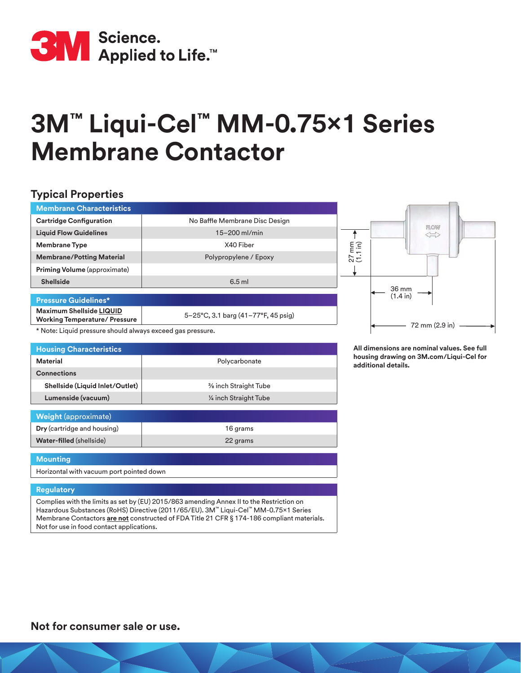

# **3M™ Liqui-Cel™ MM-0.75x1 Series Membrane Contactor**

## **Typical Properties**

| <b>Membrane Characteristics</b>                                  |                                     |                                      |
|------------------------------------------------------------------|-------------------------------------|--------------------------------------|
| <b>Cartridge Configuration</b>                                   | No Baffle Membrane Disc Design      |                                      |
| <b>Liquid Flow Guidelines</b>                                    | $15 - 200$ ml/min                   | <b>FLOW</b><br>$\iff$                |
| <b>Membrane Type</b>                                             | X40 Fiber                           | $\begin{matrix} 1 \\ 1 \end{matrix}$ |
| <b>Membrane/Potting Material</b>                                 | Polypropylene / Epoxy               | $\overline{c}$                       |
| <b>Priming Volume</b> (approximate)                              |                                     |                                      |
| <b>Shellside</b>                                                 | $6.5$ ml                            |                                      |
| <b>Pressure Guidelines*</b>                                      |                                     | 36 mm<br>(1.4 in)                    |
| Maximum Shellside LIQUID<br><b>Working Temperature/ Pressure</b> | 5-25°C, 3.1 barg (41-77°F, 45 psig) | $\sim$ $\sim$ $\sim$ $\sim$          |

\* Note: Liquid pressure should always exceed gas pressure.

**Dry** (cartridge and housing) 16 grams **Water-filled** (shellside) **22 grams** 

| <b>Housing Characteristics</b>  |                        |  |  |
|---------------------------------|------------------------|--|--|
| Material                        | Polycarbonate          |  |  |
| <b>Connections</b>              |                        |  |  |
| Shellside (Liquid Inlet/Outlet) | % inch Straight Tube   |  |  |
| Lumenside (vacuum)              | 1/4 inch Straight Tube |  |  |
|                                 |                        |  |  |
| <b>Weight (approximate)</b>     |                        |  |  |

**All dimensions are nominal values. See full housing drawing on 3M.com/Liqui-Cel for additional details.**

 $-72$  mm (2.9 in)  $-$ 

#### **Mounting**

Horizontal with vacuum port pointed down

#### **Regulatory**

Complies with the limits as set by (EU) 2015/863 amending Annex II to the Restriction on Hazardous Substances (RoHS) Directive (2011/65/EU). 3M™ Liqui-Cel™ MM-0.75x1 Series Membrane Contactors **are not** constructed of FDA Title 21 CFR § 174-186 compliant materials. Not for use in food contact applications.

**Not for consumer sale or use.**